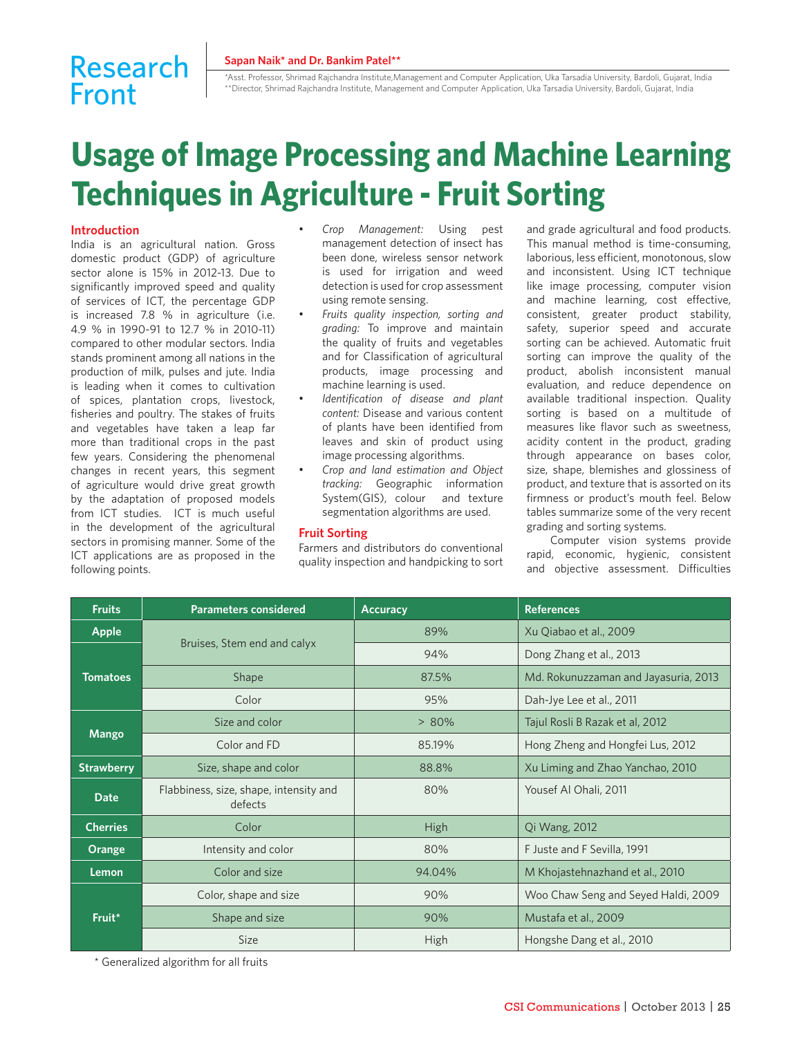#### **Sapan Naik\* and Dr. Bankim Patel\*\***

# Research Front

\*Asst. Professor, Shrimad Rajchandra Institute,Management and Computer Application, Uka Tarsadia University, Bardoli, Gujarat, India \*\*Director, Shrimad Rajchandra Institute, Management and Computer Application, Uka Tarsadia University, Bardoli, Gujarat, India

# **Usage of Image Processing and Machine Learning Techniques in Agriculture - Fruit Sorting**

# **Introduction**

India is an agricultural nation. Gross domestic product (GDP) of agriculture sector alone is 15% in 2012-13. Due to significantly improved speed and quality of services of ICT, the percentage GDP is increased 7.8 % in agriculture (i.e. 4.9 % in 1990-91 to 12.7 % in 2010-11) compared to other modular sectors. India stands prominent among all nations in the production of milk, pulses and jute. India is leading when it comes to cultivation of spices, plantation crops, livestock, fisheries and poultry. The stakes of fruits and vegetables have taken a leap far more than traditional crops in the past few years. Considering the phenomenal changes in recent years, this segment of agriculture would drive great growth by the adaptation of proposed models from ICT studies. ICT is much useful in the development of the agricultural sectors in promising manner. Some of the ICT applications are as proposed in the following points.

- *Crop Management:* Using pest management detection of insect has been done, wireless sensor network is used for irrigation and weed detection is used for crop assessment using remote sensing.
- *Fruits quality inspection, sorting and grading:* To improve and maintain the quality of fruits and vegetables and for Classification of agricultural products, image processing and machine learning is used.
- *Identification of disease and plant content:* Disease and various content of plants have been identified from leaves and skin of product using image processing algorithms.
- *Crop and land estimation and Object tracking:* Geographic information System(GIS), colour and texture segmentation algorithms are used.

#### **Fruit Sorting**

Farmers and distributors do conventional quality inspection and handpicking to sort

and grade agricultural and food products. This manual method is time-consuming, laborious, less efficient, monotonous, slow and inconsistent. Using ICT technique like image processing, computer vision and machine learning, cost effective, consistent, greater product stability, safety, superior speed and accurate sorting can be achieved. Automatic fruit sorting can improve the quality of the product, abolish inconsistent manual evaluation, and reduce dependence on available traditional inspection. Quality sorting is based on a multitude of measures like flavor such as sweetness, acidity content in the product, grading through appearance on bases color, size, shape, blemishes and glossiness of product, and texture that is assorted on its firmness or product's mouth feel. Below tables summarize some of the very recent grading and sorting systems.

Computer vision systems provide rapid, economic, hygienic, consistent and objective assessment. Difficulties

| <b>Fruits</b>     | <b>Parameters considered</b>                      | <b>Accuracy</b> | <b>References</b>                    |
|-------------------|---------------------------------------------------|-----------------|--------------------------------------|
| <b>Apple</b>      | Bruises, Stem end and calyx                       | 89%             | Xu Qiabao et al., 2009               |
| <b>Tomatoes</b>   |                                                   | 94%             | Dong Zhang et al., 2013              |
|                   | Shape                                             | 87.5%           | Md. Rokunuzzaman and Jayasuria, 2013 |
|                   | Color                                             | 95%             | Dah-Jye Lee et al., 2011             |
| <b>Mango</b>      | Size and color                                    | $> 80\%$        | Tajul Rosli B Razak et al, 2012      |
|                   | Color and FD                                      | 85.19%          | Hong Zheng and Hongfei Lus, 2012     |
| <b>Strawberry</b> | Size, shape and color                             | 88.8%           | Xu Liming and Zhao Yanchao, 2010     |
| <b>Date</b>       | Flabbiness, size, shape, intensity and<br>defects | 80%             | Yousef Al Ohali, 2011                |
| <b>Cherries</b>   | Color                                             | <b>High</b>     | Qi Wang, 2012                        |
| Orange            | Intensity and color                               | 80%             | F Juste and F Sevilla, 1991          |
| Lemon             | Color and size                                    | 94.04%          | M Khojastehnazhand et al., 2010      |
| Fruit*            | Color, shape and size                             | 90%             | Woo Chaw Seng and Seyed Haldi, 2009  |
|                   | Shape and size                                    | 90%             | Mustafa et al., 2009                 |
|                   | <b>Size</b>                                       | <b>High</b>     | Hongshe Dang et al., 2010            |

\* Generalized algorithm for all fruits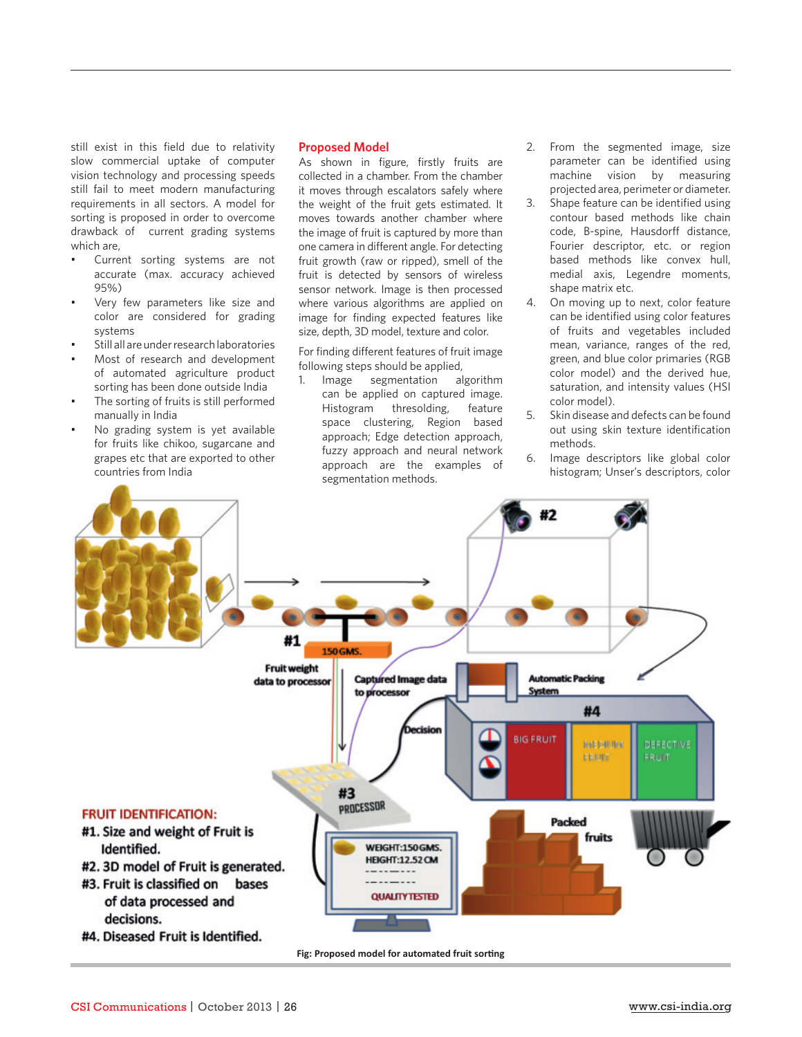still exist in this field due to relativity slow commercial uptake of computer vision technology and processing speeds still fail to meet modern manufacturing requirements in all sectors. A model for sorting is proposed in order to overcome drawback of current grading systems which are,

- Current sorting systems are not accurate (max. accuracy achieved 95%)
- Very few parameters like size and color are considered for grading systems
- Still all are under research laboratories
- Most of research and development of automated agriculture product sorting has been done outside India
- The sorting of fruits is still performed manually in India
- No grading system is yet available for fruits like chikoo, sugarcane and grapes etc that are exported to other countries from India

# **Proposed Model**

As shown in figure, firstly fruits are collected in a chamber. From the chamber it moves through escalators safely where the weight of the fruit gets estimated. It moves towards another chamber where the image of fruit is captured by more than one camera in different angle. For detecting fruit growth (raw or ripped), smell of the fruit is detected by sensors of wireless sensor network. Image is then processed where various algorithms are applied on image for finding expected features like size, depth, 3D model, texture and color.

For finding different features of fruit image following steps should be applied,

1. Image segmentation algorithm can be applied on captured image. Histogram thresolding, feature space clustering, Region based approach; Edge detection approach, fuzzy approach and neural network approach are the examples of segmentation methods.

- 2. From the segmented image, size parameter can be identified using machine vision by measuring projected area, perimeter or diameter.
- 3. Shape feature can be identified using contour based methods like chain code, B-spine, Hausdorff distance, Fourier descriptor, etc. or region based methods like convex hull, medial axis, Legendre moments, shape matrix etc.
- 4. On moving up to next, color feature can be identified using color features of fruits and vegetables included mean, variance, ranges of the red, green, and blue color primaries (RGB color model) and the derived hue, saturation, and intensity values (HSI color model).
- 5. Skin disease and defects can be found out using skin texture identification methods.
- 6. Image descriptors like global color histogram; Unser's descriptors, color g



Fig: Proposed model for automated fruit sorting